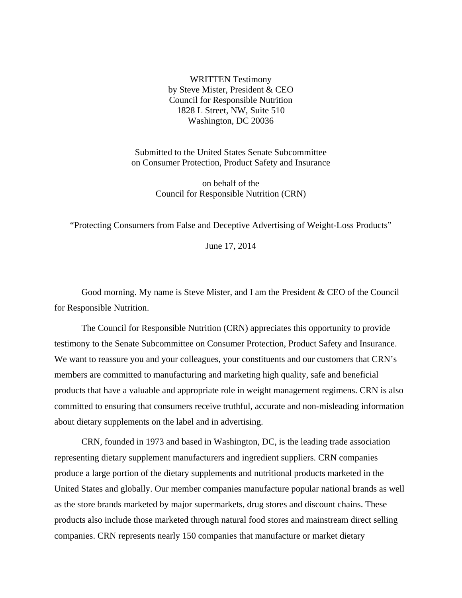WRITTEN Testimony by Steve Mister, President & CEO Council for Responsible Nutrition 1828 L Street, NW, Suite 510 Washington, DC 20036

Submitted to the United States Senate Subcommittee on Consumer Protection, Product Safety and Insurance

> on behalf of the Council for Responsible Nutrition (CRN)

"Protecting Consumers from False and Deceptive Advertising of Weight-Loss Products"

June 17, 2014

Good morning. My name is Steve Mister, and I am the President & CEO of the Council for Responsible Nutrition.

The Council for Responsible Nutrition (CRN) appreciates this opportunity to provide testimony to the Senate Subcommittee on Consumer Protection, Product Safety and Insurance. We want to reassure you and your colleagues, your constituents and our customers that CRN's members are committed to manufacturing and marketing high quality, safe and beneficial products that have a valuable and appropriate role in weight management regimens. CRN is also committed to ensuring that consumers receive truthful, accurate and non-misleading information about dietary supplements on the label and in advertising.

CRN, founded in 1973 and based in Washington, DC, is the leading trade association representing dietary supplement manufacturers and ingredient suppliers. CRN companies produce a large portion of the dietary supplements and nutritional products marketed in the United States and globally. Our member companies manufacture popular national brands as well as the store brands marketed by major supermarkets, drug stores and discount chains. These products also include those marketed through natural food stores and mainstream direct selling companies. CRN represents nearly 150 companies that manufacture or market dietary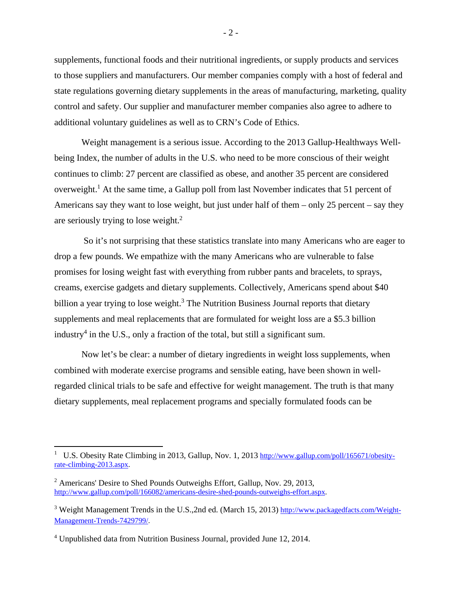supplements, functional foods and their nutritional ingredients, or supply products and services to those suppliers and manufacturers. Our member companies comply with a host of federal and state regulations governing dietary supplements in the areas of manufacturing, marketing, quality control and safety. Our supplier and manufacturer member companies also agree to adhere to additional voluntary guidelines as well as to CRN's Code of Ethics.

Weight management is a serious issue. According to the 2013 Gallup-Healthways Wellbeing Index, the number of adults in the U.S. who need to be more conscious of their weight continues to climb: 27 percent are classified as obese, and another 35 percent are considered overweight.<sup>1</sup> At the same time, a Gallup poll from last November indicates that 51 percent of Americans say they want to lose weight, but just under half of them – only 25 percent – say they are seriously trying to lose weight.<sup>2</sup>

 So it's not surprising that these statistics translate into many Americans who are eager to drop a few pounds. We empathize with the many Americans who are vulnerable to false promises for losing weight fast with everything from rubber pants and bracelets, to sprays, creams, exercise gadgets and dietary supplements. Collectively, Americans spend about \$40 billion a year trying to lose weight.<sup>3</sup> The Nutrition Business Journal reports that dietary supplements and meal replacements that are formulated for weight loss are a \$5.3 billion industry<sup>4</sup> in the U.S., only a fraction of the total, but still a significant sum.

Now let's be clear: a number of dietary ingredients in weight loss supplements, when combined with moderate exercise programs and sensible eating, have been shown in wellregarded clinical trials to be safe and effective for weight management. The truth is that many dietary supplements, meal replacement programs and specially formulated foods can be

<sup>1</sup> U.S. Obesity Rate Climbing in 2013, Gallup, Nov. 1, 2013 http://www.gallup.com/poll/165671/obesityrate-climbing-2013.aspx.

<sup>&</sup>lt;sup>2</sup> Americans' Desire to Shed Pounds Outweighs Effort, Gallup, Nov. 29, 2013, http://www.gallup.com/poll/166082/americans-desire-shed-pounds-outweighs-effort.aspx.

<sup>&</sup>lt;sup>3</sup> Weight Management Trends in the U.S., 2nd ed. (March 15, 2013) http://www.packagedfacts.com/Weight-Management-Trends-7429799/.

<sup>&</sup>lt;sup>4</sup> Unpublished data from Nutrition Business Journal, provided June 12, 2014.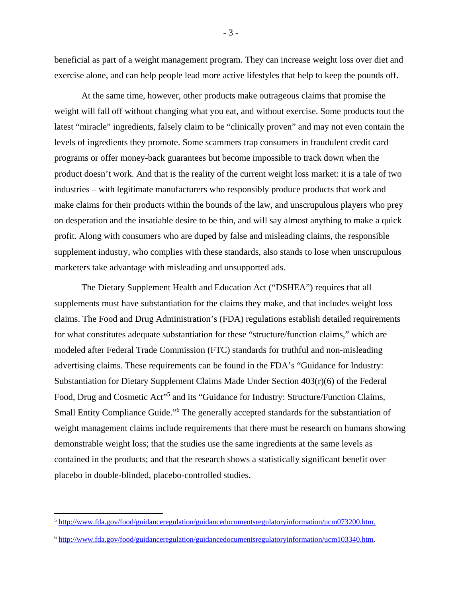beneficial as part of a weight management program. They can increase weight loss over diet and exercise alone, and can help people lead more active lifestyles that help to keep the pounds off.

At the same time, however, other products make outrageous claims that promise the weight will fall off without changing what you eat, and without exercise. Some products tout the latest "miracle" ingredients, falsely claim to be "clinically proven" and may not even contain the levels of ingredients they promote. Some scammers trap consumers in fraudulent credit card programs or offer money-back guarantees but become impossible to track down when the product doesn't work. And that is the reality of the current weight loss market: it is a tale of two industries – with legitimate manufacturers who responsibly produce products that work and make claims for their products within the bounds of the law, and unscrupulous players who prey on desperation and the insatiable desire to be thin, and will say almost anything to make a quick profit. Along with consumers who are duped by false and misleading claims, the responsible supplement industry, who complies with these standards, also stands to lose when unscrupulous marketers take advantage with misleading and unsupported ads.

The Dietary Supplement Health and Education Act ("DSHEA") requires that all supplements must have substantiation for the claims they make, and that includes weight loss claims. The Food and Drug Administration's (FDA) regulations establish detailed requirements for what constitutes adequate substantiation for these "structure/function claims," which are modeled after Federal Trade Commission (FTC) standards for truthful and non-misleading advertising claims. These requirements can be found in the FDA's "Guidance for Industry: Substantiation for Dietary Supplement Claims Made Under Section 403(r)(6) of the Federal Food, Drug and Cosmetic Act"<sup>5</sup> and its "Guidance for Industry: Structure/Function Claims, Small Entity Compliance Guide."<sup>6</sup> The generally accepted standards for the substantiation of weight management claims include requirements that there must be research on humans showing demonstrable weight loss; that the studies use the same ingredients at the same levels as contained in the products; and that the research shows a statistically significant benefit over placebo in double-blinded, placebo-controlled studies.

- 3 -

<sup>5</sup> http://www.fda.gov/food/guidanceregulation/guidancedocumentsregulatoryinformation/ucm073200.htm.

<sup>6</sup> http://www.fda.gov/food/guidanceregulation/guidancedocumentsregulatoryinformation/ucm103340.htm.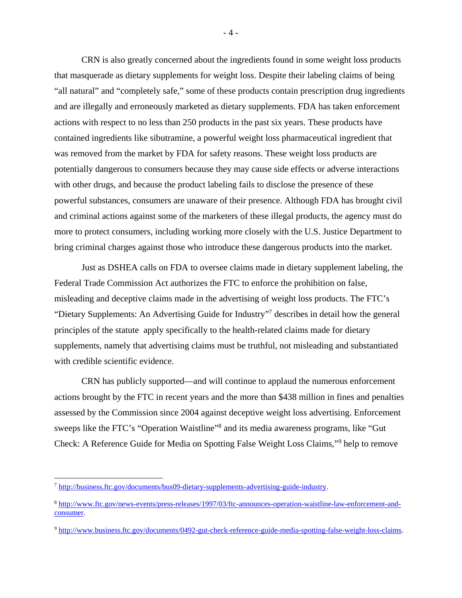CRN is also greatly concerned about the ingredients found in some weight loss products that masquerade as dietary supplements for weight loss. Despite their labeling claims of being "all natural" and "completely safe," some of these products contain prescription drug ingredients and are illegally and erroneously marketed as dietary supplements. FDA has taken enforcement actions with respect to no less than 250 products in the past six years. These products have contained ingredients like sibutramine, a powerful weight loss pharmaceutical ingredient that was removed from the market by FDA for safety reasons. These weight loss products are potentially dangerous to consumers because they may cause side effects or adverse interactions with other drugs, and because the product labeling fails to disclose the presence of these powerful substances, consumers are unaware of their presence. Although FDA has brought civil and criminal actions against some of the marketers of these illegal products, the agency must do more to protect consumers, including working more closely with the U.S. Justice Department to bring criminal charges against those who introduce these dangerous products into the market.

Just as DSHEA calls on FDA to oversee claims made in dietary supplement labeling, the Federal Trade Commission Act authorizes the FTC to enforce the prohibition on false, misleading and deceptive claims made in the advertising of weight loss products. The FTC's "Dietary Supplements: An Advertising Guide for Industry"<sup>7</sup> describes in detail how the general principles of the statute apply specifically to the health-related claims made for dietary supplements, namely that advertising claims must be truthful, not misleading and substantiated with credible scientific evidence.

CRN has publicly supported—and will continue to applaud the numerous enforcement actions brought by the FTC in recent years and the more than \$438 million in fines and penalties assessed by the Commission since 2004 against deceptive weight loss advertising. Enforcement sweeps like the FTC's "Operation Waistline"<sup>8</sup> and its media awareness programs, like "Gut Check: A Reference Guide for Media on Spotting False Weight Loss Claims,"<sup>9</sup> help to remove

- 4 -

<sup>7</sup> http://business.ftc.gov/documents/bus09-dietary-supplements-advertising-guide-industry.

<sup>8</sup> http://www.ftc.gov/news-events/press-releases/1997/03/ftc-announces-operation-waistline-law-enforcement-andconsumer.

<sup>9</sup> http://www.business.ftc.gov/documents/0492-gut-check-reference-guide-media-spotting-false-weight-loss-claims.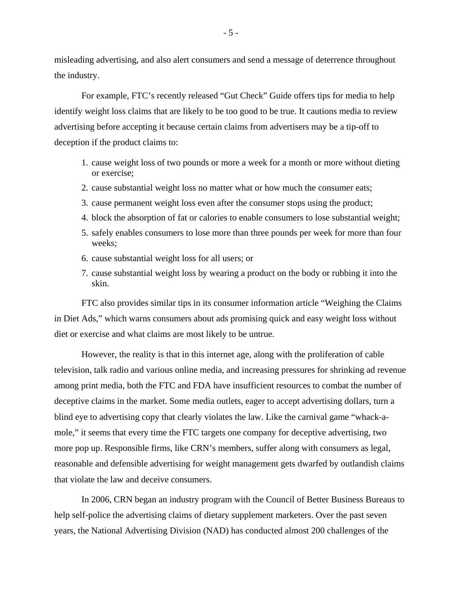misleading advertising, and also alert consumers and send a message of deterrence throughout the industry.

For example, FTC's recently released "Gut Check" Guide offers tips for media to help identify weight loss claims that are likely to be too good to be true. It cautions media to review advertising before accepting it because certain claims from advertisers may be a tip-off to deception if the product claims to:

- 1. cause weight loss of two pounds or more a week for a month or more without dieting or exercise;
- 2. cause substantial weight loss no matter what or how much the consumer eats;
- 3. cause permanent weight loss even after the consumer stops using the product;
- 4. block the absorption of fat or calories to enable consumers to lose substantial weight;
- 5. safely enables consumers to lose more than three pounds per week for more than four weeks;
- 6. cause substantial weight loss for all users; or
- 7. cause substantial weight loss by wearing a product on the body or rubbing it into the skin.

FTC also provides similar tips in its consumer information article "Weighing the Claims in Diet Ads," which warns consumers about ads promising quick and easy weight loss without diet or exercise and what claims are most likely to be untrue.

However, the reality is that in this internet age, along with the proliferation of cable television, talk radio and various online media, and increasing pressures for shrinking ad revenue among print media, both the FTC and FDA have insufficient resources to combat the number of deceptive claims in the market. Some media outlets, eager to accept advertising dollars, turn a blind eye to advertising copy that clearly violates the law. Like the carnival game "whack-amole," it seems that every time the FTC targets one company for deceptive advertising, two more pop up. Responsible firms, like CRN's members, suffer along with consumers as legal, reasonable and defensible advertising for weight management gets dwarfed by outlandish claims that violate the law and deceive consumers.

In 2006, CRN began an industry program with the Council of Better Business Bureaus to help self-police the advertising claims of dietary supplement marketers. Over the past seven years, the National Advertising Division (NAD) has conducted almost 200 challenges of the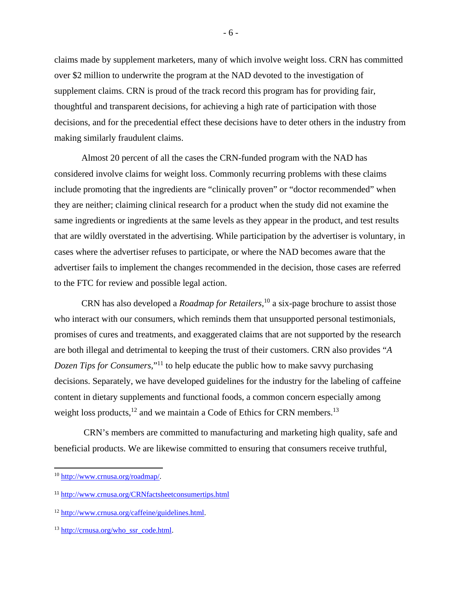claims made by supplement marketers, many of which involve weight loss. CRN has committed over \$2 million to underwrite the program at the NAD devoted to the investigation of supplement claims. CRN is proud of the track record this program has for providing fair, thoughtful and transparent decisions, for achieving a high rate of participation with those decisions, and for the precedential effect these decisions have to deter others in the industry from making similarly fraudulent claims.

Almost 20 percent of all the cases the CRN-funded program with the NAD has considered involve claims for weight loss. Commonly recurring problems with these claims include promoting that the ingredients are "clinically proven" or "doctor recommended" when they are neither; claiming clinical research for a product when the study did not examine the same ingredients or ingredients at the same levels as they appear in the product, and test results that are wildly overstated in the advertising. While participation by the advertiser is voluntary, in cases where the advertiser refuses to participate, or where the NAD becomes aware that the advertiser fails to implement the changes recommended in the decision, those cases are referred to the FTC for review and possible legal action.

CRN has also developed a *Roadmap for Retailers*, 10 a six-page brochure to assist those who interact with our consumers, which reminds them that unsupported personal testimonials, promises of cures and treatments, and exaggerated claims that are not supported by the research are both illegal and detrimental to keeping the trust of their customers. CRN also provides "*A Dozen Tips for Consumers*,"<sup>11</sup> to help educate the public how to make savvy purchasing decisions. Separately, we have developed guidelines for the industry for the labeling of caffeine content in dietary supplements and functional foods, a common concern especially among weight loss products,  $^{12}$  and we maintain a Code of Ethics for CRN members.<sup>13</sup>

 CRN's members are committed to manufacturing and marketing high quality, safe and beneficial products. We are likewise committed to ensuring that consumers receive truthful,

 <sup>10</sup> http://www.crnusa.org/roadmap/.

<sup>11</sup> http://www.crnusa.org/CRNfactsheetconsumertips.html

<sup>12</sup> http://www.crnusa.org/caffeine/guidelines.html.

<sup>13</sup> http://crnusa.org/who\_ssr\_code.html.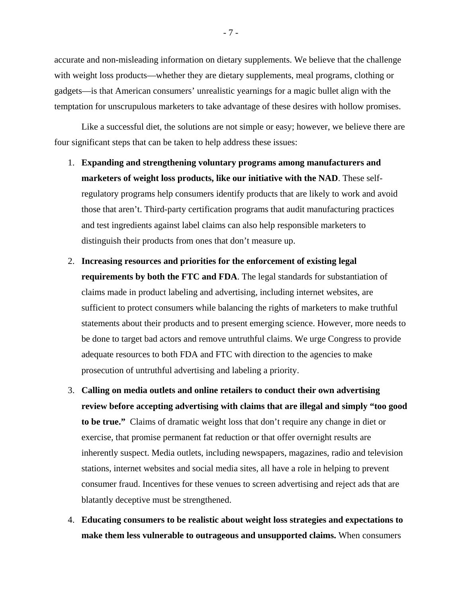accurate and non-misleading information on dietary supplements. We believe that the challenge with weight loss products—whether they are dietary supplements, meal programs, clothing or gadgets—is that American consumers' unrealistic yearnings for a magic bullet align with the temptation for unscrupulous marketers to take advantage of these desires with hollow promises.

Like a successful diet, the solutions are not simple or easy; however, we believe there are four significant steps that can be taken to help address these issues:

- 1. **Expanding and strengthening voluntary programs among manufacturers and marketers of weight loss products, like our initiative with the NAD**. These selfregulatory programs help consumers identify products that are likely to work and avoid those that aren't. Third-party certification programs that audit manufacturing practices and test ingredients against label claims can also help responsible marketers to distinguish their products from ones that don't measure up.
- 2. **Increasing resources and priorities for the enforcement of existing legal requirements by both the FTC and FDA**. The legal standards for substantiation of claims made in product labeling and advertising, including internet websites, are sufficient to protect consumers while balancing the rights of marketers to make truthful statements about their products and to present emerging science. However, more needs to be done to target bad actors and remove untruthful claims. We urge Congress to provide adequate resources to both FDA and FTC with direction to the agencies to make prosecution of untruthful advertising and labeling a priority.
- 3. **Calling on media outlets and online retailers to conduct their own advertising review before accepting advertising with claims that are illegal and simply "too good to be true."** Claims of dramatic weight loss that don't require any change in diet or exercise, that promise permanent fat reduction or that offer overnight results are inherently suspect. Media outlets, including newspapers, magazines, radio and television stations, internet websites and social media sites, all have a role in helping to prevent consumer fraud. Incentives for these venues to screen advertising and reject ads that are blatantly deceptive must be strengthened.
- 4. **Educating consumers to be realistic about weight loss strategies and expectations to make them less vulnerable to outrageous and unsupported claims.** When consumers

- 7 -